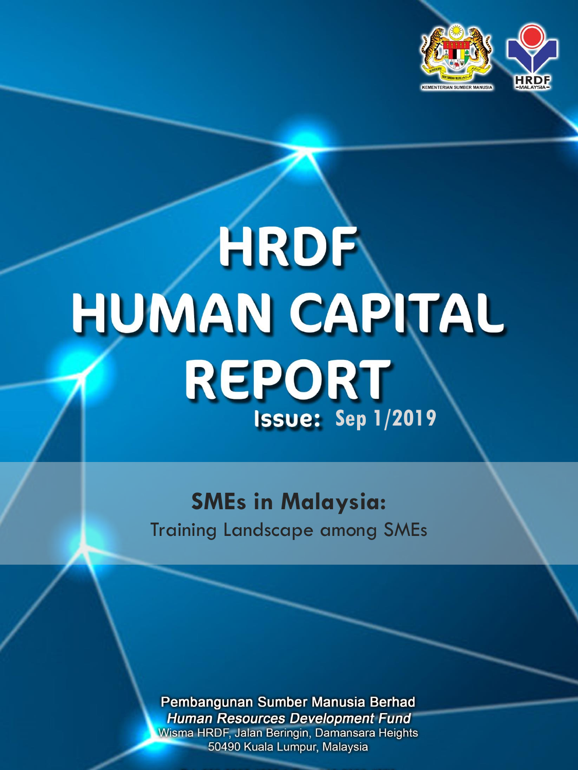

# HRDF HUMAN CAPITAL REPORT **Issue: Sep 1/2019**

**SMEs in Malaysia:**  Training Landscape among SMEs

Pembangunan Sumber Manusia Berhad **Human Resources Development Fund** Wisma HRDF, Jalan Beringin, Damansara Heights 50490 Kuala Lumpur, Malaysia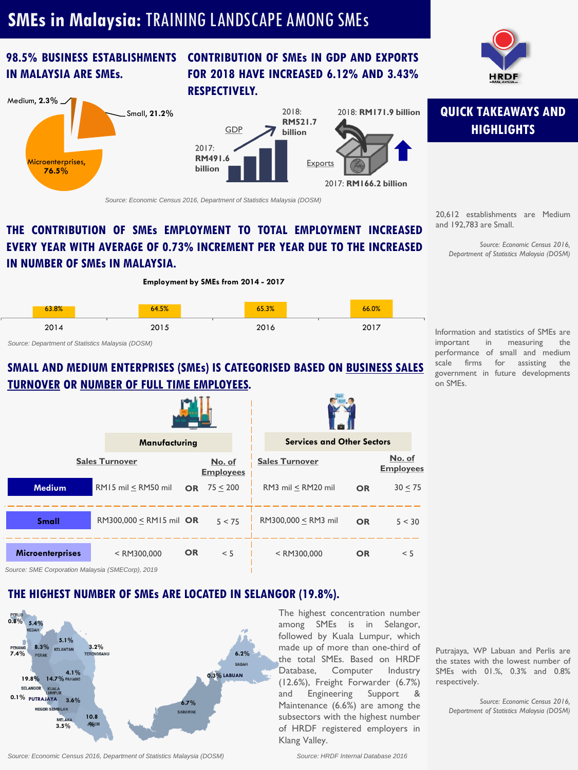## **SMEs in Malaysia:** TRAINING LANDSCAPE AMONG SMEs

## **98.5% BUSINESS ESTABLISHMENTS IN MALAYSIA ARE SMEs.**

#### **CONTRIBUTION OF SMEs IN GDP AND EXPORTS FOR 2018 HAVE INCREASED 6.12% AND 3.43% RESPECTIVELY.**



*Source: Economic Census 2016, Department of Statistics Malaysia (DOSM)*

#### **THE CONTRIBUTION OF SMEs EMPLOYMENT TO TOTAL EMPLOYMENT INCREASED EVERY YEAR WITH AVERAGE OF 0.73% INCREMENT PER YEAR DUE TO THE INCREASED IN NUMBER OF SMEs IN MALAYSIA.**

#### **Employment by SMEs from 2014 - 2017**



*Source: Department of Statistics Malaysia (DOSM)*

#### **SMALL AND MEDIUM ENTERPRISES (SMEs) IS CATEGORISED BASED ON BUSINESS SALES TURNOVER OR NUMBER OF FULL TIME EMPLOYEES.**

|                         | Manufacturing           |           |                            | <b>Services and Other Sectors</b> |           |                            |
|-------------------------|-------------------------|-----------|----------------------------|-----------------------------------|-----------|----------------------------|
|                         | <b>Sales Turnover</b>   |           | No. of<br><b>Employees</b> | <b>Sales Turnover</b>             |           | No. of<br><b>Employees</b> |
| <b>Medium</b>           | $RM15$ mil < $RM50$ mil |           | OR $75 < 200$              | RM3 mil < RM20 mil                | <b>OR</b> | 30 < 75                    |
| <b>Small</b>            | RM300,000 < RM15 mil OR |           | 5 < 75                     | RM300,000 < RM3 mil               | <b>OR</b> | 5 < 30                     |
| <b>Microenterprises</b> | $<$ RM300,000           | <b>OR</b> | < 5                        | $<$ RM300,000                     | <b>OR</b> | < 5                        |

*Source: SME Corporation Malaysia (SMECorp), 2019*

#### **THE HIGHEST NUMBER OF SMEs ARE LOCATED IN SELANGOR (19.8%).**



*Source: Economic Census 2016, Department of Statistics Malaysia (DOSM)*

The highest concentration number among SMEs is in Selangor, followed by Kuala Lumpur, which made up of more than one-third of the total SMEs. Based on HRDF Database, Computer Industry (12.6%), Freight Forwarder (6.7%) and Engineering Support & Maintenance (6.6%) are among the subsectors with the highest number of HRDF registered employers in Klang Valley.

*Source: HRDF Internal Database 2016*

#### **QUICK TAKEAWAYS AND HIGHLIGHTS**

20,612 establishments are Medium and 192,783 are Small.

*Source: Economic Census 2016, Department of Statistics Malaysia (DOSM)*

Information and statistics of SMEs are important in measuring the performance of small and medium scale firms for assisting the government in future developments on SMEs.

Putrajaya, WP Labuan and Perlis are the states with the lowest number of SMEs with 01.%, 0.3% and 0.8% respectively.

*Source: Economic Census 2016, Department of Statistics Malaysia (DOSM)*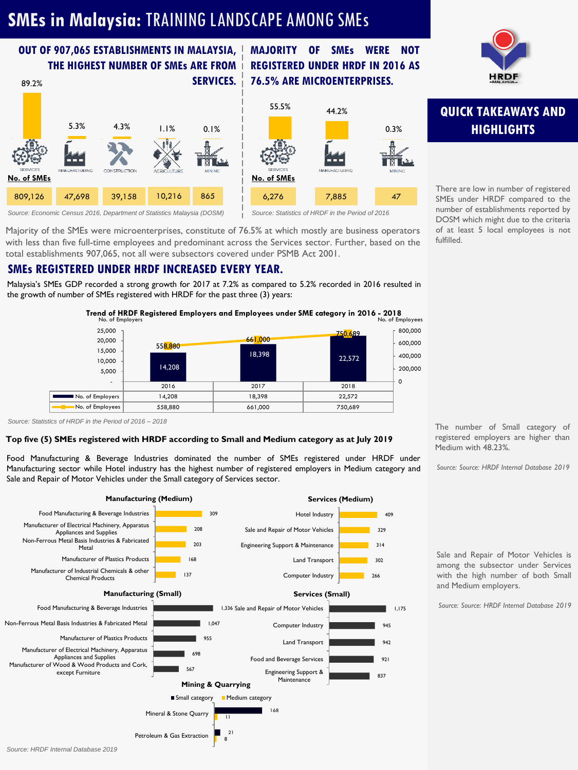# **SMEs in Malaysia:** TRAINING LANDSCAPE AMONG SMEs

#### **OUT OF 907,065 ESTABLISHMENTS IN MALAYSIA, THE HIGHEST NUMBER OF SMEs ARE FROM**

#### **SERVICES. 76.5% ARE MICROENTERPRISES.** 89.2% 5.3% 4.3% 1.1% 0.1% CONSTRUCTION **No. of SMEs No. of SMEs** 809,126 47,698 39,158 10,216 865 *Source: Statistics of HRDF in the Period of 2016*



*Source: Economic Census 2016, Department of Statistics Malaysia (DOSM)*

Majority of the SMEs were microenterprises, constitute of 76.5% at which mostly are business operators with less than five full-time employees and predominant across the Services sector. Further, based on the total establishments 907,065, not all were subsectors covered under PSMB Act 2001.

#### **SMEs REGISTERED UNDER HRDF INCREASED EVERY YEAR.**

Malaysia's SMEs GDP recorded a strong growth for 2017 at 7.2% as compared to 5.2% recorded in 2016 resulted in the growth of number of SMEs registered with HRDF for the past three (3) years:

Trend of HRDF Registered Employers and Employees under SME category in 2016 - 2018<br>No. of Employees

 $55.5\%$  44.2%

**MAJORITY OF SMEs WERE NOT REGISTERED UNDER HRDF IN 2016 AS**

6,276 7,885 47

MANUFACTURING

0.3%



*Source: Statistics of HRDF in the Period of 2016 – 2018*

#### **Top five (5) SMEs registered with HRDF according to Small and Medium category as at July 2019**

Food Manufacturing & Beverage Industries dominated the number of SMEs registered under HRDF under Manufacturing sector while Hotel industry has the highest number of registered employers in Medium category and Sale and Repair of Motor Vehicles under the Small category of Services sector.





## **QUICK TAKEAWAYS AND HIGHLIGHTS**

There are low in number of registered SMEs under HRDF compared to the number of establishments reported by DOSM which might due to the criteria of at least 5 local employees is not fulfilled.

The number of Small category of registered employers are higher than Medium with 48.23%.

*Source: Source: HRDF Internal Database 2019*

Sale and Repair of Motor Vehicles is among the subsector under Services with the high number of both Small and Medium employers.

*Source: Source: HRDF Internal Database 2019*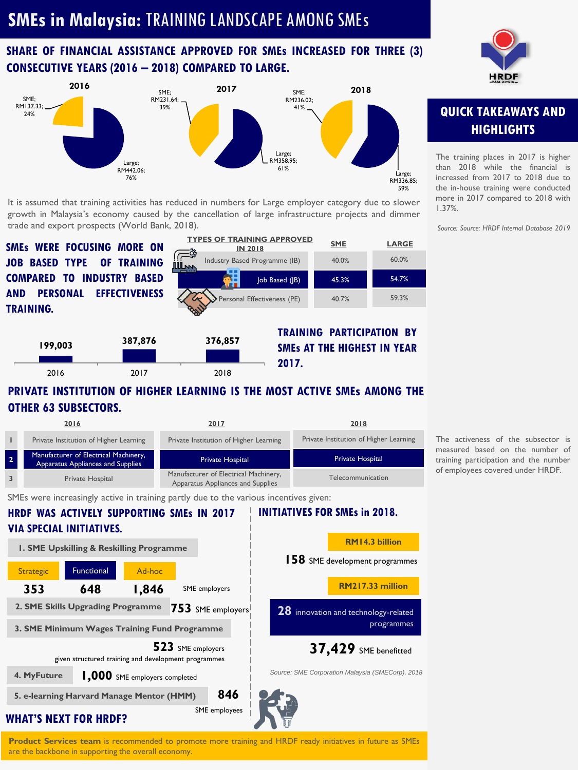# **SMEs in Malaysia:** TRAINING LANDSCAPE AMONG SMEs

#### **SHARE OF FINANCIAL ASSISTANCE APPROVED FOR SMEs INCREASED FOR THREE (3) CONSECUTIVE YEARS (2016 – 2018) COMPARED TO LARGE.**



It is assumed that training activities has reduced in numbers for Large employer category due to slower growth in Malaysia's economy caused by the cancellation of large infrastructure projects and dimmer trade and export prospects (World Bank, 2018).

**JOB BASED TYPE OF TRAINING COMPARED TO INDUSTRY BASED AND PERSONAL EFFECTIVENESS TRAINING.**



**TRAINING PARTICIPATION BY SMEs AT THE HIGHEST IN YEAR 2017. 199,003 387,876 376,857** 2016 2017 2018

#### **PRIVATE INSTITUTION OF HIGHER LEARNING IS THE MOST ACTIVE SMEs AMONG THE OTHER 63 SUBSECTORS.**

|                      | 2016                                                                       | 2017                                                                       | 2018                                   |
|----------------------|----------------------------------------------------------------------------|----------------------------------------------------------------------------|----------------------------------------|
|                      | Private Institution of Higher Learning                                     | Private Institution of Higher Learning                                     | Private Institution of Higher Learning |
| $\overline{2}$       | Manufacturer of Electrical Machinery,<br>Apparatus Appliances and Supplies | <b>Private Hospital</b>                                                    | <b>Private Hospital</b>                |
|                      | Private Hospital                                                           | Manufacturer of Electrical Machinery,<br>Apparatus Appliances and Supplies | Telecommunication                      |
| $\sim$ $\sim$ $\sim$ |                                                                            |                                                                            |                                        |

SMEs were increasingly active in training partly due to the various incentives given:

**WHAT'S NEXT FOR HRDF?** 2. SME Skills Upgrading Programme 753 SME employers **HRDF WAS ACTIVELY SUPPORTING SMEs IN 2017 VIA SPECIAL INITIATIVES. 353 1. SME Upskilling & Reskilling Programme 648 1,846 3. SME Minimum Wages Training Fund Programme 4. MyFuture 1,000** SME employers completed **523** SME employers given structured training and development programmes **846**  SME employees **5. e-learning Harvard Manage Mentor (HMM)** Strategic Functional Ad-hoc **INITIATIVES FOR SMEs in 2018.** SME employers **158** SME development programmes **RM14.3 billion 28** innovation and technology-related programmes **RM217.33 million 37,429** SME benefitted *Source: SME Corporation Malaysia (SMECorp), 2018*

**Product Services team** is recommended to promote more training and HRDF ready initiatives in future as SMEs are the backbone in supporting the overall economy.



## **QUICK TAKEAWAYS AND HIGHLIGHTS**

The training places in 2017 is higher than 2018 while the financial is increased from 2017 to 2018 due to the in-house training were conducted more in 2017 compared to 2018 with 1.37%.

*Source: Source: HRDF Internal Database 2019*

The activeness of the subsector is measured based on the number of training participation and the number of employees covered under HRDF.